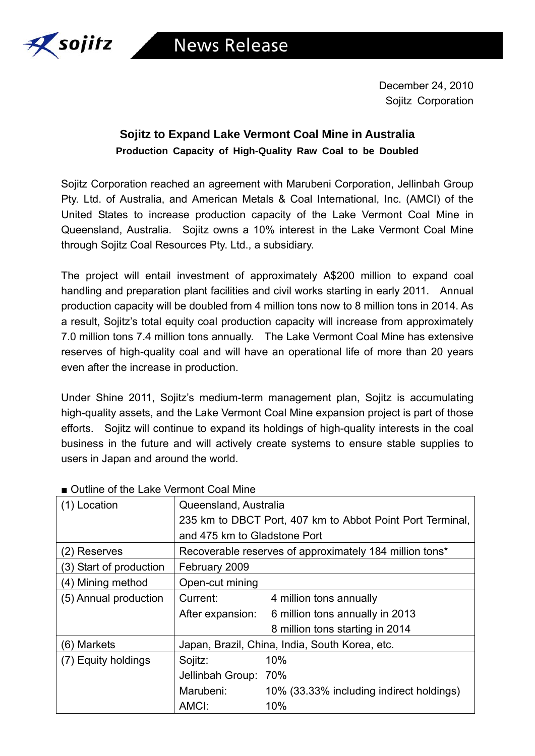

December 24, 2010 Sojitz Corporation

## **Sojitz to Expand Lake Vermont Coal Mine in Australia Production Capacity of High-Quality Raw Coal to be Doubled**

Sojitz Corporation reached an agreement with Marubeni Corporation, Jellinbah Group Pty. Ltd. of Australia, and American Metals & Coal International, Inc. (AMCI) of the United States to increase production capacity of the Lake Vermont Coal Mine in Queensland, Australia. Sojitz owns a 10% interest in the Lake Vermont Coal Mine through Sojitz Coal Resources Pty. Ltd., a subsidiary.

The project will entail investment of approximately A\$200 million to expand coal handling and preparation plant facilities and civil works starting in early 2011. Annual production capacity will be doubled from 4 million tons now to 8 million tons in 2014. As a result, Sojitz's total equity coal production capacity will increase from approximately 7.0 million tons 7.4 million tons annually. The Lake Vermont Coal Mine has extensive reserves of high-quality coal and will have an operational life of more than 20 years even after the increase in production.

Under Shine 2011, Sojitz's medium-term management plan, Sojitz is accumulating high-quality assets, and the Lake Vermont Coal Mine expansion project is part of those efforts. Sojitz will continue to expand its holdings of high-quality interests in the coal business in the future and will actively create systems to ensure stable supplies to users in Japan and around the world.

| (1) Location            | Queensland, Australia<br>235 km to DBCT Port, 407 km to Abbot Point Port Terminal,<br>and 475 km to Gladstone Port |                                          |
|-------------------------|--------------------------------------------------------------------------------------------------------------------|------------------------------------------|
| (2) Reserves            | Recoverable reserves of approximately 184 million tons*                                                            |                                          |
| (3) Start of production | February 2009                                                                                                      |                                          |
| (4) Mining method       | Open-cut mining                                                                                                    |                                          |
| (5) Annual production   | Current:                                                                                                           | 4 million tons annually                  |
|                         | After expansion:                                                                                                   | 6 million tons annually in 2013          |
|                         |                                                                                                                    | 8 million tons starting in 2014          |
| (6) Markets             | Japan, Brazil, China, India, South Korea, etc.                                                                     |                                          |
| (7) Equity holdings     | Sojitz:                                                                                                            | 10%                                      |
|                         | Jellinbah Group: 70%                                                                                               |                                          |
|                         | Marubeni:                                                                                                          | 10% (33.33% including indirect holdings) |
|                         | AMCI:                                                                                                              | 10%                                      |

## ■ Outline of the Lake Vermont Coal Mine